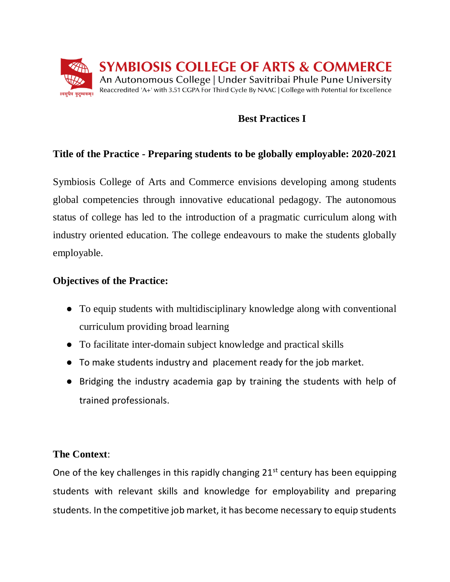

# **Best Practices I**

### **Title of the Practice - Preparing students to be globally employable: 2020-2021**

Symbiosis College of Arts and Commerce envisions developing among students global competencies through innovative educational pedagogy. The autonomous status of college has led to the introduction of a pragmatic curriculum along with industry oriented education. The college endeavours to make the students globally employable.

#### **Objectives of the Practice:**

- To equip students with multidisciplinary knowledge along with conventional curriculum providing broad learning
- To facilitate inter-domain subject knowledge and practical skills
- To make students industry and placement ready for the job market.
- Bridging the industry academia gap by training the students with help of trained professionals.

#### **The Context**:

One of the key challenges in this rapidly changing  $21<sup>st</sup>$  century has been equipping students with relevant skills and knowledge for employability and preparing students. In the competitive job market, it has become necessary to equip students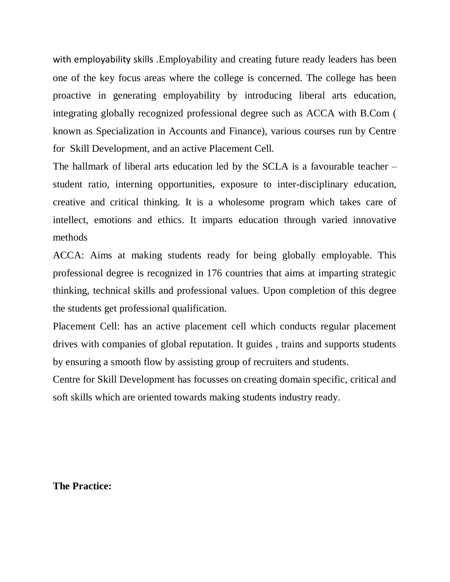with employability skills .Employability and creating future ready leaders has been one of the key focus areas where the college is concerned. The college has been proactive in generating employability by introducing liberal arts education, integrating globally recognized professional degree such as ACCA with B.Com ( known as Specialization in Accounts and Finance), various courses run by Centre for Skill Development, and an active Placement Cell.

The hallmark of liberal arts education led by the SCLA is a favourable teacher – student ratio, interning opportunities, exposure to inter-disciplinary education, creative and critical thinking. It is a wholesome program which takes care of intellect, emotions and ethics. It imparts education through varied innovative methods

ACCA: Aims at making students ready for being globally employable. This professional degree is recognized in 176 countries that aims at imparting strategic thinking, technical skills and professional values. Upon completion of this degree the students get professional qualification.

Placement Cell: has an active placement cell which conducts regular placement drives with companies of global reputation. It guides , trains and supports students by ensuring a smooth flow by assisting group of recruiters and students.

Centre for Skill Development has focusses on creating domain specific, critical and soft skills which are oriented towards making students industry ready.

#### **The Practice:**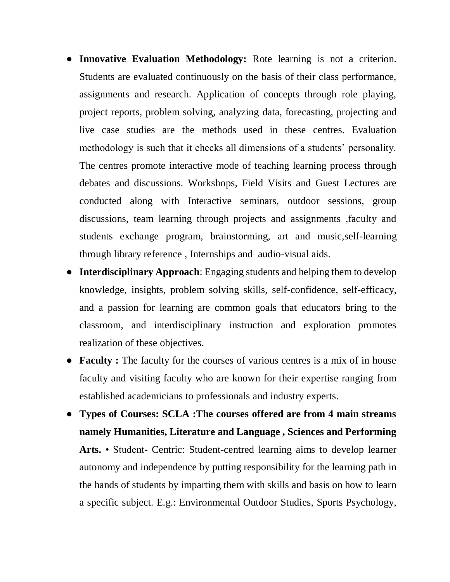- **Innovative Evaluation Methodology:** Rote learning is not a criterion. Students are evaluated continuously on the basis of their class performance, assignments and research. Application of concepts through role playing, project reports, problem solving, analyzing data, forecasting, projecting and live case studies are the methods used in these centres. Evaluation methodology is such that it checks all dimensions of a students' personality. The centres promote interactive mode of teaching learning process through debates and discussions. Workshops, Field Visits and Guest Lectures are conducted along with Interactive seminars, outdoor sessions, group discussions, team learning through projects and assignments ,faculty and students exchange program, brainstorming, art and music,self-learning through library reference , Internships and audio-visual aids.
- **Interdisciplinary Approach**: Engaging students and helping them to develop knowledge, insights, problem solving skills, self-confidence, self-efficacy, and a passion for learning are common goals that educators bring to the classroom, and interdisciplinary instruction and exploration promotes realization of these objectives.
- **Faculty :** The faculty for the courses of various centres is a mix of in house faculty and visiting faculty who are known for their expertise ranging from established academicians to professionals and industry experts.
- **Types of Courses: SCLA :The courses offered are from 4 main streams namely Humanities, Literature and Language , Sciences and Performing Arts.** • Student- Centric: Student-centred learning aims to develop learner autonomy and independence by putting responsibility for the learning path in the hands of students by imparting them with skills and basis on how to learn a specific subject. E.g.: Environmental Outdoor Studies, Sports Psychology,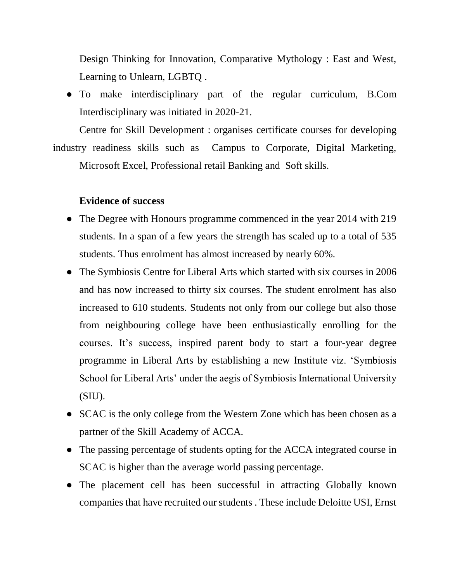Design Thinking for Innovation, Comparative Mythology : East and West, Learning to Unlearn, LGBTQ .

● To make interdisciplinary part of the regular curriculum, B.Com Interdisciplinary was initiated in 2020-21.

Centre for Skill Development : organises certificate courses for developing industry readiness skills such as Campus to Corporate, Digital Marketing, Microsoft Excel, Professional retail Banking and Soft skills.

#### **Evidence of success**

- The Degree with Honours programme commenced in the year 2014 with 219 students. In a span of a few years the strength has scaled up to a total of 535 students. Thus enrolment has almost increased by nearly 60%.
- The Symbiosis Centre for Liberal Arts which started with six courses in 2006 and has now increased to thirty six courses. The student enrolment has also increased to 610 students. Students not only from our college but also those from neighbouring college have been enthusiastically enrolling for the courses. It's success, inspired parent body to start a four-year degree programme in Liberal Arts by establishing a new Institute viz. 'Symbiosis School for Liberal Arts' under the aegis of Symbiosis International University  $(SIU).$
- SCAC is the only college from the Western Zone which has been chosen as a partner of the Skill Academy of ACCA.
- The passing percentage of students opting for the ACCA integrated course in SCAC is higher than the average world passing percentage.
- The placement cell has been successful in attracting Globally known companies that have recruited our students . These include Deloitte USI, Ernst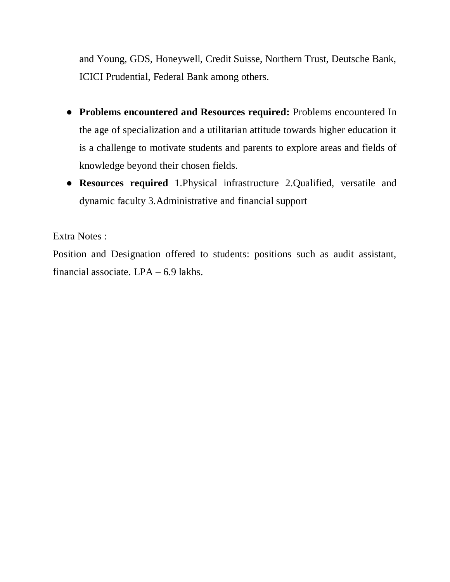and Young, GDS, Honeywell, Credit Suisse, Northern Trust, Deutsche Bank, ICICI Prudential, Federal Bank among others.

- **Problems encountered and Resources required:** Problems encountered In the age of specialization and a utilitarian attitude towards higher education it is a challenge to motivate students and parents to explore areas and fields of knowledge beyond their chosen fields.
- **Resources required** 1.Physical infrastructure 2.Qualified, versatile and dynamic faculty 3.Administrative and financial support

Extra Notes :

Position and Designation offered to students: positions such as audit assistant, financial associate. LPA – 6.9 lakhs.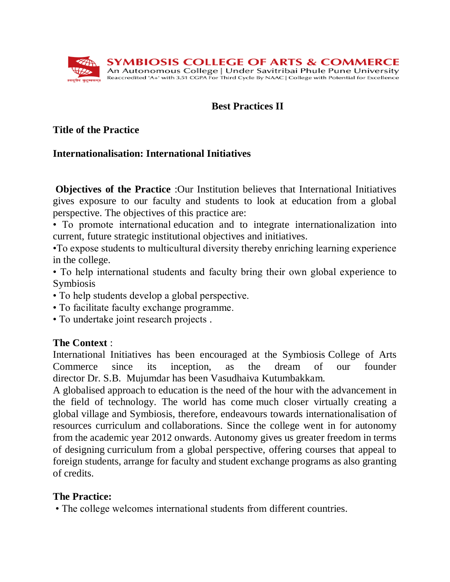

# **Best Practices II**

### **Title of the Practice**

### **Internationalisation: International Initiatives**

**Objectives of the Practice** :Our Institution believes that International Initiatives gives exposure to our faculty and students to look at education from a global perspective. The objectives of this practice are:

• To promote international education and to integrate internationalization into current, future strategic institutional objectives and initiatives.

•To expose students to multicultural diversity thereby enriching learning experience in the college.

• To help international students and faculty bring their own global experience to Symbiosis

- To help students develop a global perspective.
- To facilitate faculty exchange programme.
- To undertake joint research projects .

# **The Context** :

International Initiatives has been encouraged at the Symbiosis College of Arts Commerce since its inception, as the dream of our founder director Dr. S.B. Mujumdar has been Vasudhaiva Kutumbakkam.

A globalised approach to education is the need of the hour with the advancement in the field of technology. The world has come much closer virtually creating a global village and Symbiosis, therefore, endeavours towards internationalisation of resources curriculum and collaborations. Since the college went in for autonomy from the academic year 2012 onwards. Autonomy gives us greater freedom in terms of designing curriculum from a global perspective, offering courses that appeal to foreign students, arrange for faculty and student exchange programs as also granting of credits.

# **The Practice:**

• The college welcomes international students from different countries.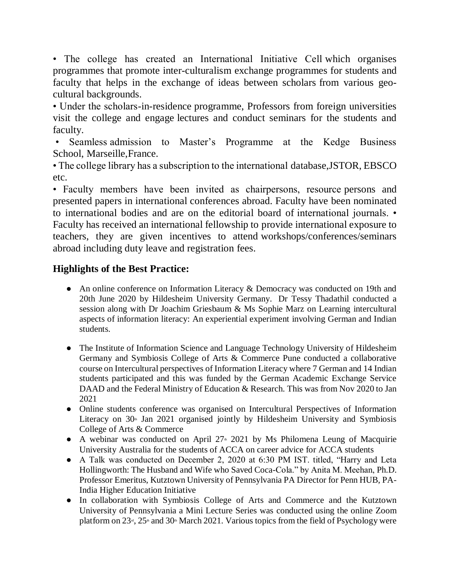• The college has created an International Initiative Cell which organises programmes that promote inter-culturalism exchange programmes for students and faculty that helps in the exchange of ideas between scholars from various geocultural backgrounds.

• Under the scholars-in-residence programme, Professors from foreign universities visit the college and engage lectures and conduct seminars for the students and faculty.

• Seamless admission to Master's Programme at the Kedge Business School, Marseille,France.

• The college library has a subscription to the international database,JSTOR, EBSCO etc.

• Faculty members have been invited as chairpersons, resource persons and presented papers in international conferences abroad. Faculty have been nominated to international bodies and are on the editorial board of international journals. • Faculty has received an international fellowship to provide international exposure to teachers, they are given incentives to attend workshops/conferences/seminars abroad including duty leave and registration fees.

### **Highlights of the Best Practice:**

- An online conference on Information Literacy & Democracy was conducted on 19th and 20th June 2020 by Hildesheim University Germany. Dr Tessy Thadathil conducted a session along with Dr Joachim Griesbaum & Ms Sophie Marz on Learning intercultural aspects of information literacy: An experiential experiment involving German and Indian students.
- The Institute of Information Science and Language Technology University of Hildesheim Germany and Symbiosis College of Arts & Commerce Pune conducted a collaborative course on Intercultural perspectives of Information Literacy where 7 German and 14 Indian students participated and this was funded by the German Academic Exchange Service DAAD and the Federal Ministry of Education & Research. This was from Nov 2020 to Jan 2021
- Online students conference was organised on Intercultural Perspectives of Information Literacy on  $30<sup>th</sup>$  Jan 2021 organised jointly by Hildesheim University and Symbiosis College of Arts & Commerce
- A webinar was conducted on April  $27^{\omega}$  2021 by Ms Philomena Leung of Macquirie University Australia for the students of ACCA on career advice for ACCA students
- A Talk was conducted on December 2, 2020 at 6:30 PM IST. titled, "Harry and Leta Hollingworth: The Husband and Wife who Saved Coca-Cola." by Anita M. Meehan, Ph.D. Professor Emeritus, Kutztown University of Pennsylvania PA Director for Penn HUB, PA-India Higher Education Initiative
- In collaboration with Symbiosis College of Arts and Commerce and the Kutztown University of Pennsylvania a Mini Lecture Series was conducted using the online Zoom platform on  $23^d$ ,  $25^d$  and  $30^d$  March 2021. Various topics from the field of Psychology were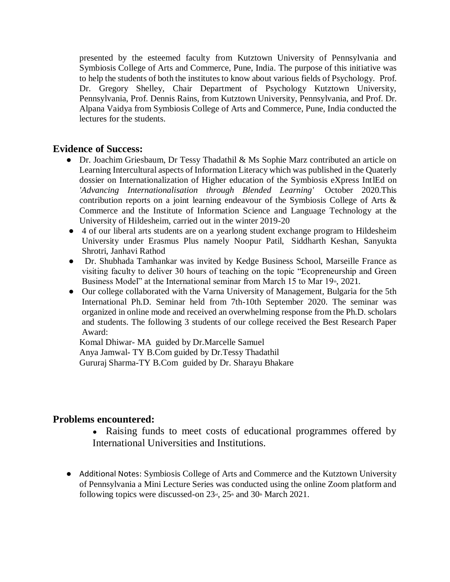presented by the esteemed faculty from Kutztown University of Pennsylvania and Symbiosis College of Arts and Commerce, Pune, India. The purpose of this initiative was to help the students of both the institutes to know about various fields of Psychology. Prof. Dr. Gregory Shelley, Chair Department of Psychology Kutztown University, Pennsylvania, Prof. Dennis Rains, from Kutztown University, Pennsylvania, and Prof. Dr. Alpana Vaidya from Symbiosis College of Arts and Commerce, Pune, India conducted the lectures for the students.

#### **Evidence of Success:**

- Dr. Joachim Griesbaum, Dr Tessy Thadathil & Ms Sophie Marz contributed an article on Learning Intercultural aspects of Information Literacy which was published in the Quaterly dossier on Internationalization of Higher education of the Symbiosis eXpress IntlEd on *'Advancing Internationalisation through Blended Learning'* October 2020.This contribution reports on a joint learning endeavour of the Symbiosis College of Arts & Commerce and the Institute of Information Science and Language Technology at the University of Hildesheim, carried out in the winter 2019-20
- 4 of our liberal arts students are on a yearlong student exchange program to Hildesheim University under Erasmus Plus namely Noopur Patil, Siddharth Keshan, Sanyukta Shrotri, Janhavi Rathod
- Dr. Shubhada Tamhankar was invited by Kedge Business School, Marseille France as visiting faculty to deliver 30 hours of teaching on the topic "Ecopreneurship and Green Business Model" at the International seminar from March 15 to Mar  $19<sup>th</sup>$ , 2021.
- Our college collaborated with the Varna University of Management, Bulgaria for the 5th International Ph.D. Seminar held from 7th-10th September 2020. The seminar was organized in online mode and received an overwhelming response from the Ph.D. scholars and students. The following 3 students of our college received the Best Research Paper Award:

Komal Dhiwar- MA guided by Dr.Marcelle Samuel Anya Jamwal- TY B.Com guided by Dr.Tessy Thadathil Gururaj Sharma-TY B.Com guided by Dr. Sharayu Bhakare

#### **Problems encountered:**

- Raising funds to meet costs of educational programmes offered by International Universities and Institutions.
- Additional Notes: Symbiosis College of Arts and Commerce and the Kutztown University of Pennsylvania a Mini Lecture Series was conducted using the online Zoom platform and following topics were discussed-on  $23<sup>rd</sup>$ ,  $25<sup>th</sup>$  and  $30<sup>th</sup>$  March 2021.